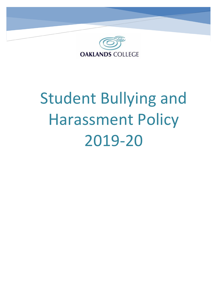

# Student Bullying and Harassment Policy 2019-20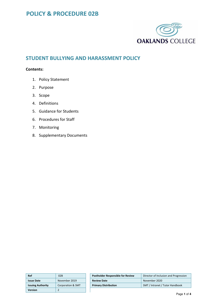

## **STUDENT BULLYING AND HARASSMENT POLICY**

## **Contents:**

- 1. Policy Statement
- 2. Purpose
- 3. Scope
- 4. Definitions
- 5. Guidance for Students
- 6. Procedures for Staff
- 7. Monitoring
- 8. Supplementary Documents

| Ref                      | 02B               | <b>Postholder Responsible for Review</b> | Director of Inclusion and Progression |
|--------------------------|-------------------|------------------------------------------|---------------------------------------|
| <b>Issue Date</b>        | November 2019     | <b>Review Date</b>                       | November 2020                         |
| <b>Issuing Authority</b> | Corporation & SMT | <b>Primary Distribution</b>              | SMT / Intranet / Tutor Handbook       |
| <b>Version</b>           |                   |                                          |                                       |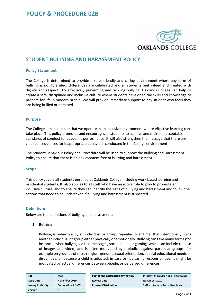

## **STUDENT BULLYING AND HARASSMENT POLICY**

## **Policy Statement**

The College is determined to provide a safe, friendly and caring environment where any form of bullying is not tolerated, differences are celebrated and all students feel valued and treated with dignity and respect. By effectively preventing and tackling bullying, Oaklands College can help to create a safe, disciplined and inclusive culture where students developed the skills and knowledge to prepare for life in modern Britain. We will provide immediate support to any student who feels they are being bullied or harassed.

## **Purpose**

The College aims to ensure that we operate in an inclusive environment where effective learning can take place. This policy promotes and encourages all students to achieve and maintain acceptable standards of conduct for academic performance; it will also strengthen the message that there are clear consequences for inappropriate behaviour conducted in the College environment**.** 

The Student Behaviour Policy and Procedure will be used to support the Bullying and Harassment Policy to ensure that there is an environment free of bullying and harassment.

#### **Scope**

This policy covers all students enrolled at Oaklands College including work based learning and residential students. It also applies to all staff who have an active role to play to promote an inclusive culture, and to ensure they can identify the signs of bullying and harassment and follow the actions that need to be undertaken if bullying and harassment is suspected.

## **Definitions**

Below are the definitions of bullying and harassment:

#### **1. Bullying**

Bullying is behaviour by an individual or group, repeated over time, that intentionally hurts another individual or group either physically or emotionally. Bullying can take many forms (for instance, cyber-bullying via text messages, social media or gaming, which can include the use of images and video) and is often motivated by prejudice against particular groups, for example on grounds of race, religion, gender, sexual orientation, special educational needs or disabilities, or because a child is adopted, in care or has caring responsibilities. It might be motivated by actual differences between people, or perceived differences.

| Ref                      | 02B               | <b>Postholder Responsible for Review</b> | Director of Inclusion and Progression |
|--------------------------|-------------------|------------------------------------------|---------------------------------------|
| <b>Issue Date</b>        | November 2019     | <b>Review Date</b>                       | November 2020                         |
| <b>Issuing Authority</b> | Corporation & SMT | <b>Primary Distribution</b>              | SMT / Intranet / Tutor Handbook       |
| <b>Version</b>           |                   |                                          |                                       |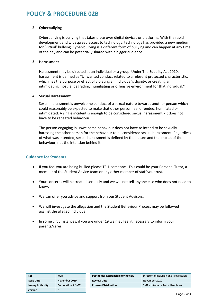## **POLICY & PROCEDURE 02B**

## **2. Cyberbullying**

Cyberbullying is bullying that takes place over digital devices or platforms. With the rapid development and widespread access to technology, technology has provided a new medium for 'virtual' bullying. Cyber-bullying is a different form of bullying and can happen at any time of the day and can be potentially shared with a bigger audience.

## **3. Harassment**

Harassment may be directed at an individual or a group. Under The Equality Act 2010, harassment is defined as "Unwanted conduct related to a relevant protected characteristic, which has the purpose or effect of violating an individual's dignity, or creating an intimidating, hostile, degrading, humiliating or offensive environment for that individual."

## **4. Sexual Harassment**

Sexual harassment is unwelcome conduct of a sexual nature towards another person which could reasonably be expected to make that other person feel offended, humiliated or intimidated. A single incident is enough to be considered sexual harassment - it does not have to be repeated behaviour.

The person engaging in unwelcome behaviour does not have to intend to be sexually harassing the other person for the behaviour to be considered sexual harassment. Regardless of what was intended, sexual harassment is defined by the nature and the impact of the behaviour, not the intention behind it.

## **Guidance for Students**

- If you feel you are being bullied please TELL someone. This could be your Personal Tutor, a member of the Student Advice team or any other member of staff you trust.
- Your concerns will be treated seriously and we will not tell anyone else who does not need to know.
- We can offer you advice and support from our Student Advisors.
- We will investigate the allegation and the Student Behaviour Process may be followed against the alleged individual
- In some circumstances, if you are under 19 we may feel it necessary to inform your parents/carer.

| Ref                      | 02B               | <b>Postholder Responsible for Review</b> | Director of Inclusion and Progression |
|--------------------------|-------------------|------------------------------------------|---------------------------------------|
| <b>Issue Date</b>        | November 2019     | <b>Review Date</b>                       | November 2020                         |
| <b>Issuing Authority</b> | Corporation & SMT | <b>Primary Distribution</b>              | SMT / Intranet / Tutor Handbook       |
| <b>Version</b>           |                   |                                          |                                       |